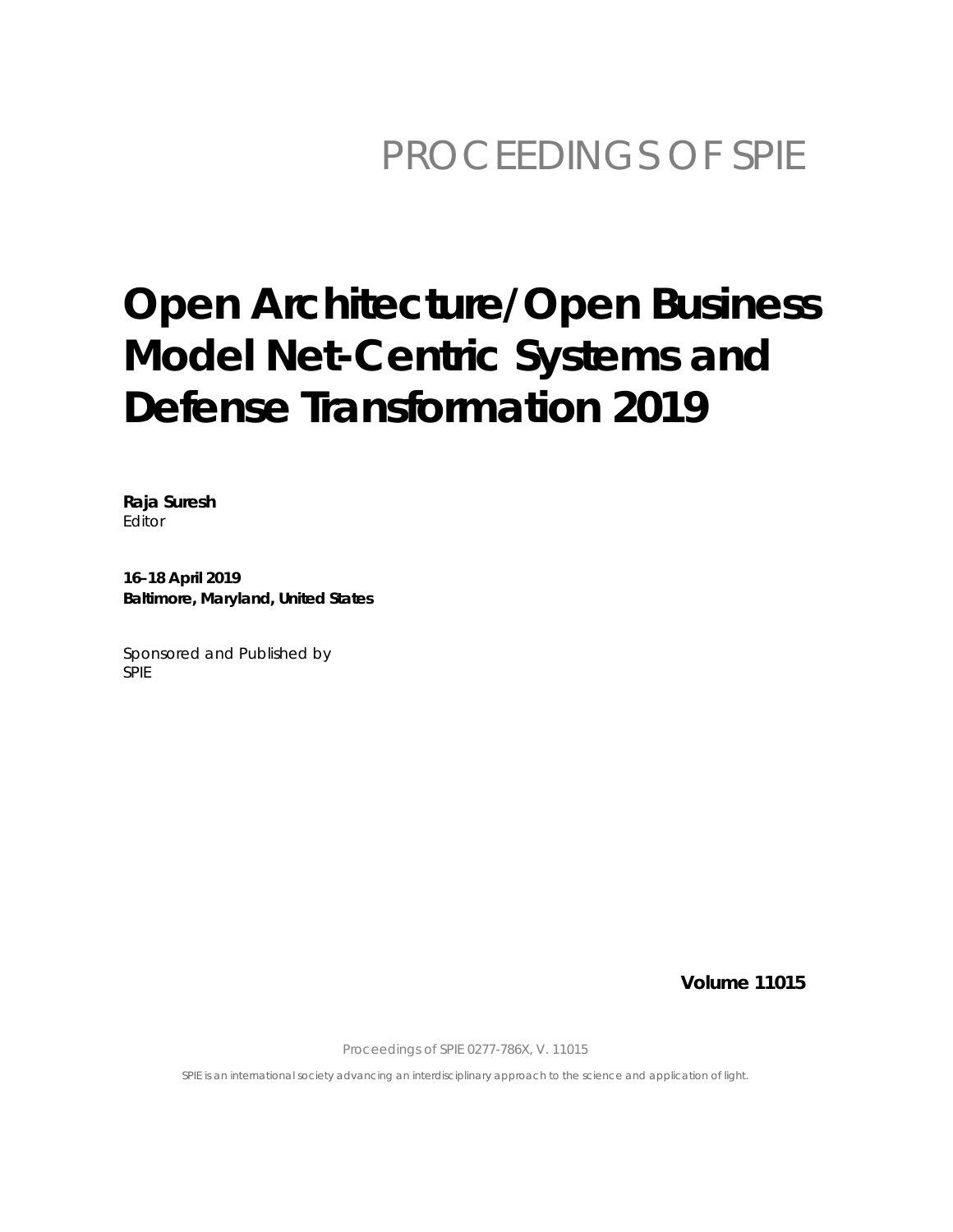## PROCEEDINGS OF SPIE

# **Open Architecture/Open Business Model Net-Centric Systems and Defense Transformation 2019**

Raja Suresh Editor

16-18 April 2019 Baltimore, Maryland, United States

Sponsored and Published by **SPIE** 

**Volume 11015** 

Proceedings of SPIE 0277-786X, V. 11015

SPIE is an international society advancing an interdisciplinary approach to the science and application of light.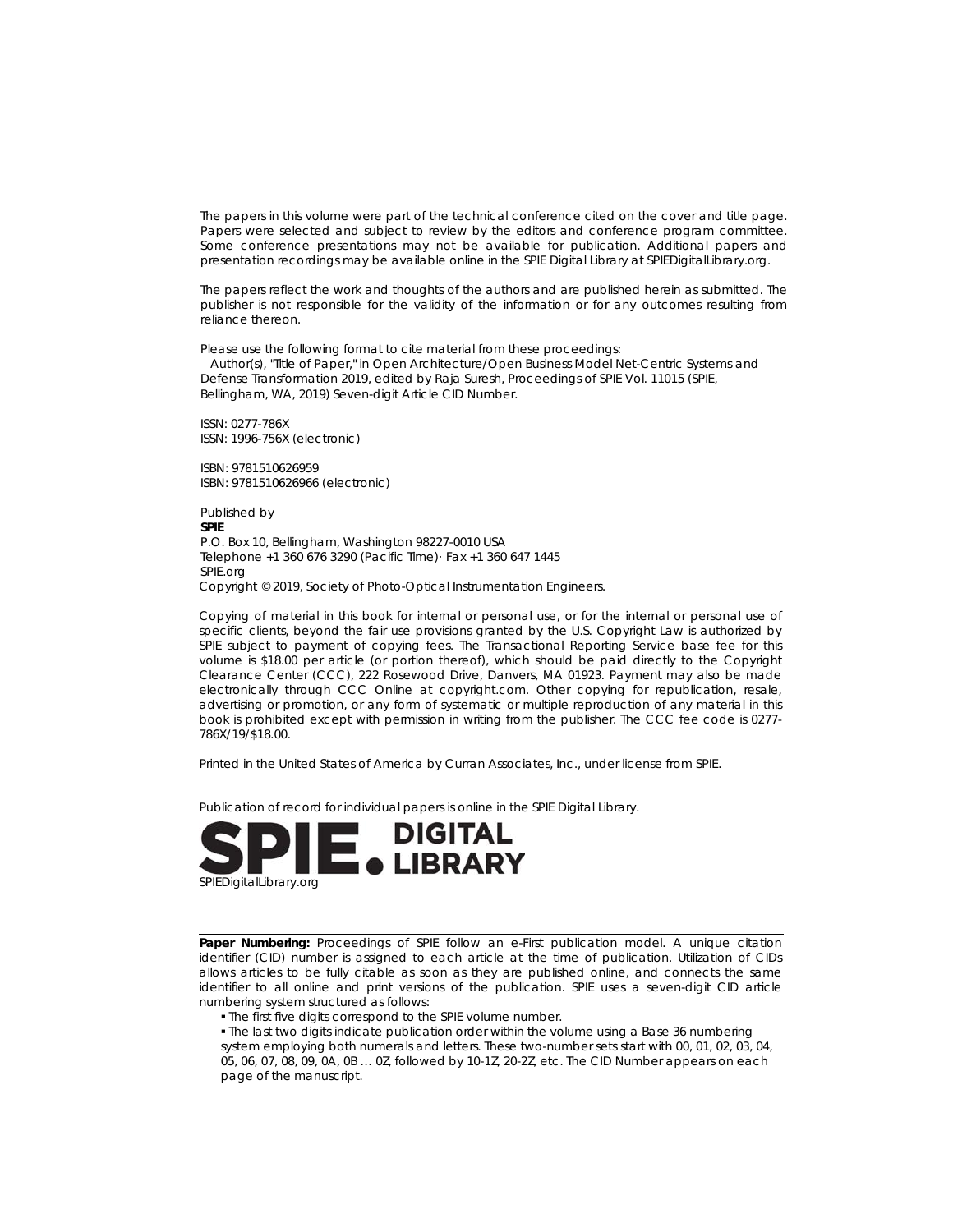The papers in this volume were part of the technical conference cited on the cover and title page. Papers were selected and subject to review by the editors and conference program committee. Some conference presentations may not be available for publication. Additional papers and presentation recordings may be available online in the SPIE Digital Library at SPIEDigitalLibrary.org.

The papers reflect the work and thoughts of the authors and are published herein as submitted. The publisher is not responsible for the validity of the information or for any outcomes resulting from reliance thereon.

Please use the following format to cite material from these proceedings:

Author(s), "Title of Paper," in Open Architecture/Open Business Model Net-Centric Systems and Defense Transformation 2019, edited by Raja Suresh, Proceedings of SPIE Vol. 11015 (SPIE, Bellingham, WA, 2019) Seven-digit Article CID Number.

ISSN: 0277-786X ISSN: 1996-756X (electronic)

ISBN: 9781510626959 ISBN: 9781510626966 (electronic)

Published by **SPIE** P.O. Box 10, Bellingham, Washington 98227-0010 USA Telephone +1 360 676 3290 (Pacific Time) Fax +1 360 647 1445 SPIE.org Copyright © 2019, Society of Photo-Optical Instrumentation Engineers.

Copying of material in this book for internal or personal use, or for the internal or personal use of specific clients, beyond the fair use provisions granted by the U.S. Copyright Law is authorized by SPIE subject to payment of copying fees. The Transactional Reporting Service base fee for this volume is \$18.00 per article (or portion thereof), which should be paid directly to the Copyright Clearance Center (CCC), 222 Rosewood Drive, Danvers, MA 01923. Payment may also be made electronically through CCC Online at copyright.com. Other copying for republication, resale, advertising or promotion, or any form of systematic or multiple reproduction of any material in this book is prohibited except with permission in writing from the publisher. The CCC fee code is 0277-786X/19/\$18.00.

Printed in the United States of America by Curran Associates, Inc., under license from SPIE.

Publication of record for individual papers is online in the SPIE Digital Library.



Paper Numbering: Proceedings of SPIE follow an e-First publication model. A unique citation identifier (CID) number is assigned to each article at the time of publication. Utilization of CIDs allows articles to be fully citable as soon as they are published online, and connects the same identifier to all online and print versions of the publication. SPIE uses a seven-digit CID article numbering system structured as follows:

. The first five digits correspond to the SPIE volume number.

. The last two digits indicate publication order within the volume using a Base 36 numbering

system employing both numerals and letters. These two-number sets start with 00, 01, 02, 03, 04, 05, 06, 07, 08, 09, 0A, 0B ... 0Z, followed by 10-12, 20-2Z, etc. The CID Number appears on each page of the manuscript.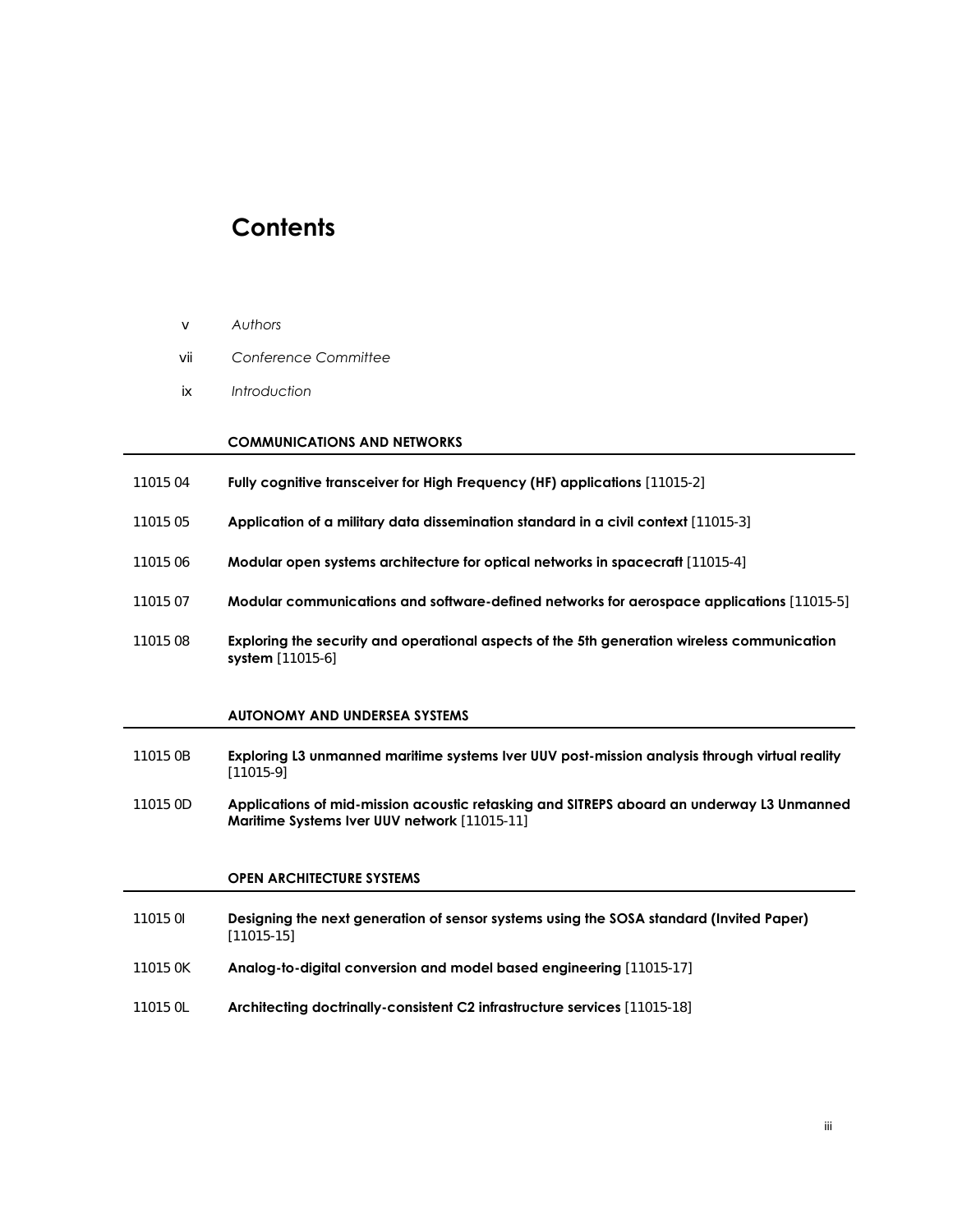### **Contents**

- v *Authors*
- vii *Conference Committee*
- ix *Introduction*

#### **COMMUNICATIONS AND NETWORKS**

- 11015 04 **Fully cognitive transceiver for High Frequency (HF) applications** [11015-2]
- 11015 05 **Application of a military data dissemination standard in a civil context** [11015-3]
- 11015 06 **Modular open systems architecture for optical networks in spacecraft** [11015-4]
- 11015 07 **Modular communications and software-defined networks for aerospace applications** [11015-5]
- 11015 08 **Exploring the security and operational aspects of the 5th generation wireless communication system** [11015-6]

#### **AUTONOMY AND UNDERSEA SYSTEMS**

- 11015 0B **Exploring L3 unmanned maritime systems Iver UUV post-mission analysis through virtual reality** [11015-9]
- 11015 0D **Applications of mid-mission acoustic retasking and SITREPS aboard an underway L3 Unmanned Maritime Systems Iver UUV network** [11015-11]

#### **OPEN ARCHITECTURE SYSTEMS**

- 11015 0I **Designing the next generation of sensor systems using the SOSA standard (Invited Paper)** [11015-15]
- 11015 0K **Analog-to-digital conversion and model based engineering** [11015-17]
- 11015 0L **Architecting doctrinally-consistent C2 infrastructure services** [11015-18]